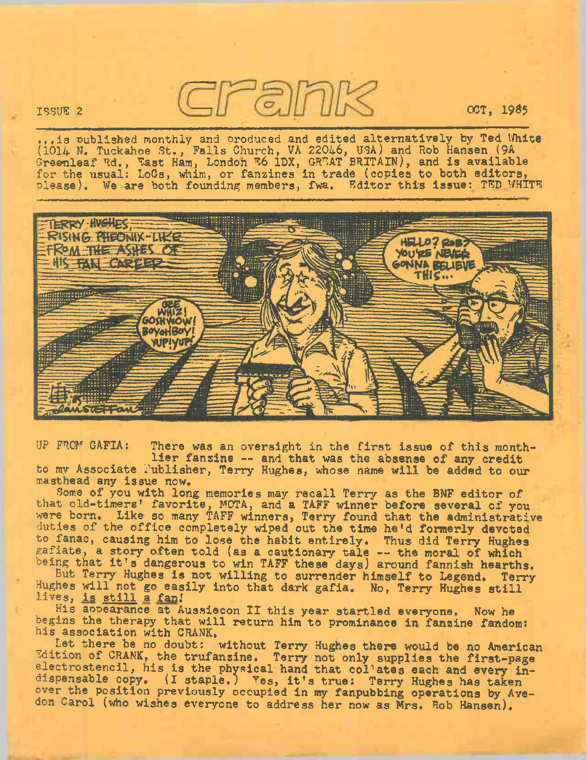ISSUE <sup>2</sup> OCT, 19S5

...is published monthly and produced and edited alternatively by Ted White (1014 N. Tuckahoe St., Falls Church, VA 22046, USA) and Rob Hansen (9A Greenleaf Rd., East Ham, London E6 1DX, GREAT BRITAIN), and is available for the usual: LoCs, whim, or fanzines in trade (copies to both editors, please). We are both founding members, fwa. Editor this issue: TED WHITE



UP FROM GAFIA: There was an oversight in the first issue of this monthlier fanzine -- and that was the absense of any credit to my Associate Publisher, Terry Hughes, whose name will be added to our masthead any issue now.

Some of you with long memories may recall Terry as the BNF editor of that old-timers' favorite, MOTA, and a TAFF winner before several of you were born. Like so many TAFF winners, Terry found that the administrative duties of the office completely wiped out the time he'd formerly devoted to fanac, causing him to lose the habit entirely. Thus did Terry Hughes gafiate, <sup>a</sup> story often told (as <sup>a</sup> cautionary tale — the moral of which being that it's dangerous to win TAFF these days) around fannish hearths.

But Terry Hughes is not willing to surrender himself to Legend. Terry Hughes will not go easily into that dark gafia, No, Terry Hughes still lives, is still a fan!

His appearance at Aussiecon II this year startled everyone. Now he begins the therapy that will return him to prominance in fanzine fandom: his association with CRANK.

Let there be no doubt: without Terry Hughes there would be no American Edition of CRANK, the trufanzine. Terry not only supplies the first-page electrostencil, his is the physical hand that collates each and every indispensable copy, (I staple.) Yes, it's true: Terry Hughes has taken over the position previously occupied in my fanpubbing operations by Avedon Carol (who wishes everyone to address her now as Mrs. Rob Hansen).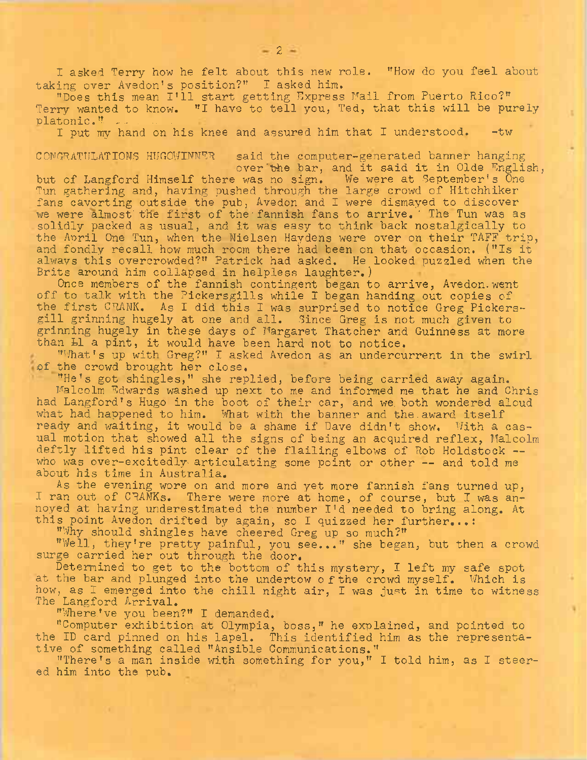I asked Terry how he felt about this new role. "How do you feel about taking over Avedon's position?" I asked him.

''Does this mean I'll start getting Express Mail from Puerto Rico?" Terry wanted to know. "I have to tell you, Ted, that this will be purely platonic."

I put my hand on his knee and assured him that I understood. - tw

## CONGRATULATIONS HUGOWINNRR said the computer-generated banner hanging over'the bar, and it said it in Olde English,

but of Langford Himself there was no sign. We were at September's One Tun gathering and, having pushed through the large crowd of Hitchhiker fans cavorting outside the pub, Avedon and I were dismayed to discover we were almost the first of the fannish fans to arrive. The Tun was as solidly packed as usual, and it was easy to think back nostalgically to the April One Tun, when the Nielsen Haydens were over on their TAFF trip, and fondly recall how much room there had been on that occasion. (''Is it always this overcrowded?" Patrick had asked. He looked puzzled when the Brits around him collapsed in helpless laughter.)

Once members of the fannish contingent began to arrive, Avedon.went off to talk with the Pickersgills while I began handing out copies of the first CRANK. As I did this I was surprised to notice Greg Pickersgill grinning hugely at one and all. Since Greg is not much given to grinning hugely in these days of Margaret Thatcher and Guinness at more than L1 a pint, it would have been hard not to notice.

"What's up with Greg?" I asked Avedon as an undercurrent in the swirl of the crowd brought her close.

"He's got shingles," she replied, before being carried away again. Malcolm Rdwards washed up next to me and informed me that he and Chris had Langford's Hugo in the boot of their car, and we. both wondered aloud what had happened to him. What with the banner and the award itself ready and waiting, it would be a shame if Dave didn't show. With a casual motion that showed all the signs of being an acquired reflex, Malcolm deftly lifted his pint clear of the flailing elbows of Rob Holdstock who was over-excitedly articulating some point or other -- and told me about his time in Australia.

As the evening wore on and more and yet more fannish fans turned up, I ran out of CRANKs. There were more at home, of course, but I was annoyed at having underestimated the number I'd needed to bring along. At this point Avedon drifted by again, so I quizzed her further...:

''Why should shingles have cheered Greg up so much?"

''Well, they're pretty painful, you see..." she began, but then a crowd surge carried her out through the door.

Determined to get to the bottom of this mystery, I left my safe spot at the bar and plunged into the undertow o fthe crowd myself. Which is how, as I emerged into the chill night air, I was just in time to witness The Langford Arrival.

''Where,'ve you been?" I demanded.

"Computer exhibition at Olympia, boss," he explained, and pointed to the ID card pinned on his lapel. This identified him as the representative of something called "Ansible Communications."

"There's a man inside with something for you," I told him, as I steered him into the pub.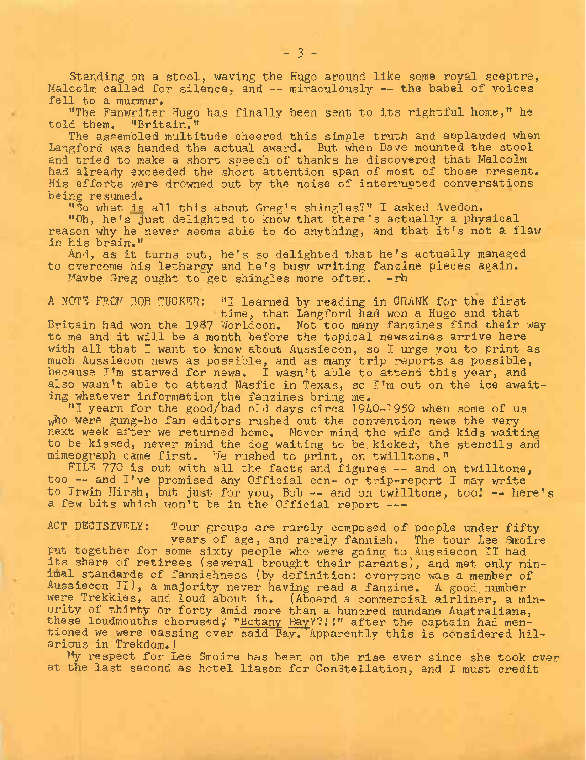Standing on a stool, waving the Hugo around like some royal sceptre, Malcolm called for silence, and -- miraculously -- the babel of voices fell to a murmur.

"The Fanwriter Hugo has finally been sent to its rightful home," he<br>d them. "Britain." told them.

The assembled multitude cheered this simple truth and applauded when Langford was handed the actual award. But when Dave mounted the stool and tried to make a short speech of thanks he discovered that Malcolm had already exceeded the short attention span of most of those present. His efforts were drowned out by the noise of interrupted conversations being resumed.

"So what is all this about Greg'<sup>s</sup> shingles?" I asked Avedon.

"0h, he'<sup>s</sup> just delighted to know that there'<sup>s</sup> actually a physical reason why he never seems able to do anything, and that it's not a flaw in his brain."

And, as it turns out, he's so delighted that he'<sup>s</sup> actually managed to overcome his lethargy and he's busy writing fanzine pieces again. Mavbe Greg ought to get shingles more often.  $-rh$ 

A NOTE FROM BOB TUCKER: "I learned by reading in CRANK for the first

time, that Langford had won a Hugo and that Britain had won the 19&7 Worldcon. Not too many fanzines find their way to me and it will be a month before the topical newszines arrive here with all that I want to know about Aussiecon, so I urge you to print as much Aussiecon news as possible, and as many trip reports as possible, because I'm starved for news. I wasn't able to attend this year, and also wasn'<sup>t</sup> able to attend Nasfic in Texas, so I'm out on the ice awaiting whatever information the fanzines bring me.

"1 yearn for the good/bad old days circa 1940-1950 when some of us who were gung-ho fan editors rushed out the convention news the very next week after we returned home. Never mind the wife and kids waiting to be kissed, never mind the dog waiting to be kicked, the stencils and mimeograph came first. We rushed to print, on twilltone."

FILE 770 is out with all the facts and figures -- and on twilltone, too — and <sup>I</sup>'ve promised any Official con- or trip-report <sup>I</sup> may write to Irwin Hirsh, but just for you, Bob -- and on twilltone, too! -- here's a few bits which won't be in the Official report ---

ACT DECISIVELY: Tour groups are rarely composed of people under fifty years of age, and rarely fannish. The tour Lee Smoire put together for some sixty people who were going to Aussiecon II had its share of retirees (several brought their parents), and met only minimal standards of fannishness (by definition: everyone was a member of Aussiecon II), a majority never having read a fanzine. A good.number were Trekkies, and loud about it. (Aboard a commercial airliner, a minority of thirty or forty amid more than a hundred mundane Australians, these loudmouths chorused; "Botany Bay??!!" after the captain had mentioned we were passing over said Bay. Apparently this is considered hilarious in Trekdom.)

My respect for Lee Smoire has been on the rise ever since she took over at the last second as hotel liason for Constellation, and I must credit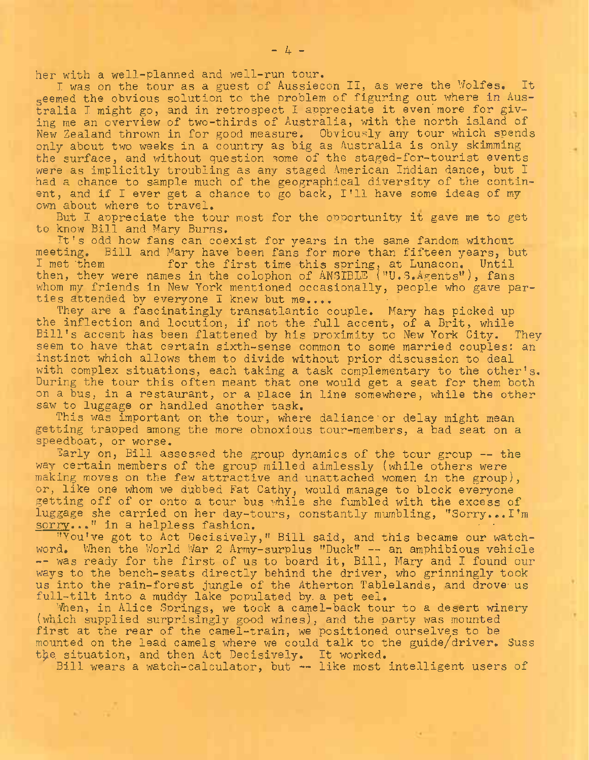her with a well-planned and well-run tour.

I was on the tour as a guest of Aussiecon II, as were the Wolfes. It seemed the obvious solution to the problem of figuring out where in Australia I might go, and in retrospect I appreciate it even'more for giving me an overview of two-thirds of Australia, with the north' island of New Zealand thrown in for good measure. Obviously any tour which spends only about two weeks in a country as big as Australia is only skimming the surface, and without question some of the staged-for-tourist events were as implicitly troubling as any staged American Indian dance, but I had a chance to sample much of the geographical diversity of the continent, and if <sup>I</sup> ever get <sup>a</sup> chance to go back, I'll have some ideas of my own about where to travel.

But I appreciate the tour most for the opportunity it gave me to get to know Bill and Mary Burns.

It'<sup>s</sup> odd how fans can coexist for years in the same fandom without meeting. Bill and Mary have been fans for more than fifteen years, but I met 'them for the first time this spring, at Lunacon. Until then, they were names in the colophon of ANSIBLE ("U.S.Agents"), fans whom my friends in New York mentioned occasionally, people who gave parties attended by everyone I knew but me....

They are a fascinatingly transatlantic couple. Mary has picked up the inflection and locution, if not the .full accent, of a Brit, while Bill'<sup>s</sup> accent has been flattened by his proximity to New York City. They seem to have that certain sixth-sense common to some married couples: an instinct which allows them to divide without prior discussion to deal with complex situations, each taking a task complementary to the other's. During the tour this often meant that one would get a seat for them both on a bus, in a restaurant, or a place in line somewhere, while the other saw to luggage or handled another task.

This was important on the tour, where daliance or delay might mean getting traoped among the more obnoxious tour-members, a bad seat on a speedboat, or worse.

Early on, Bill assessed the group dynamics of the tour group -- the way certain members of the group milled aimlessly (while others were making moves on the few attractive and unattached women in the group), or, like one whom we dubbed Fat Cathy, would manage to block everyone getting off of or onto- a tour bus while she fumbled with the excess of luggage she carried on her day-tours, constantly mumbling, "Sorry...I'm sorry..." in a helpless fashion.

"You've got to Act Decisively," Bill said, and this became our watchword. When the World War <sup>2</sup> Army-surplus "Duck" — an amphibious vehicle -- was ready for the first of us to board it, Bill, Mary and I found our ways to the bench-seats directly behind the driver, who grinningly took us into the rain-forest jungle of the Atherton Tablelands, and drove us full-tilt into a muddy lake populated by. a pet eel.

When, in Alice Springs, we took a camel-back tour to a desert winery (which supplied surprisingly good wines), and the party was mounted first at the rear of the camel-train, we positioned ourselves to be mounted on the lead camels where we could talk to the guide/driver. Suss the situation, and then Act Decisively. It worked.

Bill wears a watch-calculator, but -- like most intelligent users of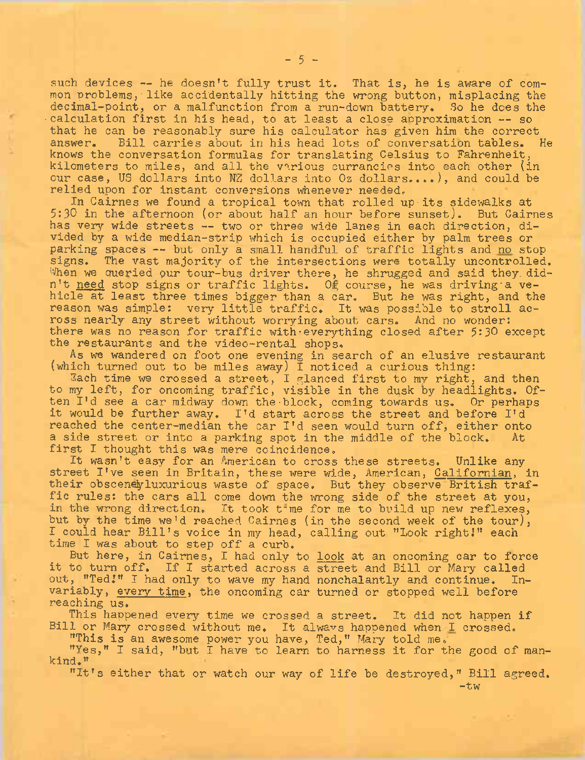such devices -- he doesn't fully trust it. That is, he is aware of common problems, like accidentally hitting the wrong button, misplacing the decimal-point, or a malfunction from a run-down battery. So he does the calculation first in his head, to at least a close approximation -- so that he can be reasonably sure his calculator has given him the correct answer. Bill carries about in his head lots of conversation tables. Bill carries about in his head lots of conversation tables. He knows the conversation formulas for translating Celsius to Fahrenheit, kilometers to miles, and all the various currancies into each other (in our case, US dollars into NZ dollars into Oz dollars....), and could be relied upon for instant conversions whenever needed.

In Cairnes we found a tropical town that rolled up-its sidewalks at 5:30 in the afternoon (or about half an hour before sunset). But Cairnes has very wide streets — two or three wide lanes in each direction, divided by a wide median-strip which is occupied either by palm trees or parking spaces -- but only a small handful of traffic lights and no stop signs. The vast majority of the intersections were totally uncontrolled. When we queried our tour-bus driver there, he shrugged and said they didn't need stop signs or traffic lights. Of course, he was driving'a vehicle at least three times bigger than a car. But he was right, and the reason was simple: very little traffic. It was possible to stroll across nearly any street without worrying about cars. And no wonder: there was no reason for traffic with everything closed after 5:30 except the restaurants and the video-rental shops.

As we wandered on foot one evening in search of an elusive restaurant (which turned out to be miles away)  $\overline{I}$  noticed a curious thing:

Each time we crossed a street, I glanced first to my right, and then to my left, for oncoming traffic, visible in the dusk by headlights. Often I'd see *a* car midway down the-block, coming towards us. Or perhaps it would be further away. I'<sup>d</sup> start across the street and before I'<sup>d</sup> reached the center-median the car I'<sup>d</sup> seen would turn off, either onto a side street or into a parking spot in the middle of the block. At first I thought this was mere coincidence.

It wasn't easy for an American to cross these streets. Unlike any street I've seen in Britain, these were wide, American, Californian, in their obscenely luxurious waste of space. But they observe British traffic rules: the cars all come down the wrong side of the street at you, in the wrong direction. It took t-me for me to build up new reflexes, but by the time we'd reached Cairnes (in the second week of the tour), I could hear Bill's voice in my head, calling out "Look right!" each time I was about to step off a curb.

But here, in Cairnes, I had only to look at an oncoming car to force it to turn off. If I started across a street and Bill or Mary called out, "Ted!" I had only to wave my hand nonchalantly and continue. Invariably, every time, the oncoming car turned or stopped well before reaching us.

This happened every time we crossed a street. It did not happen if Bill or Mary crossed without me. It always happened when I crossed.

"This is an awesome power you have, Ted," Mary told me.

"Yes," I said, ''but I have to learn to harness it for the good of mankind."

"It's either that or watch our way of life be destroyed," Bill agreed.

 $-5 -$ 

-tw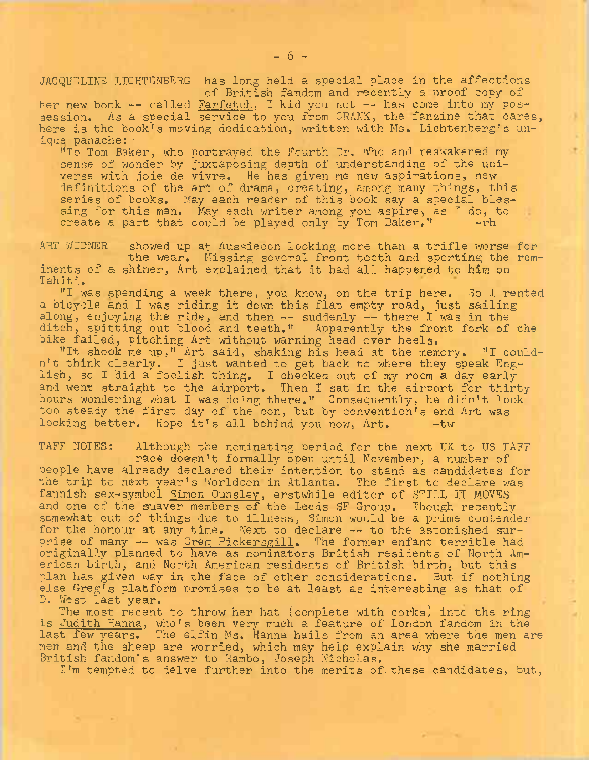JACQUELINE LICHTENBERG has long held a special place in the affections of British fandom and recently a proof copy of

her new book -- called Farfetch, I kid you not -- has come into my possession. As a special service to you from CRANK, the fanzine that cares, here is the book's moving dedication, written with Ms. Lichtenberg's unique panache:

"To Tom Baker, who portrayed the Fourth Dr. Who and reawakened my sense of wonder by juxtaposing depth of understanding of the universe with joie de vivre. He has given me new aspirations, new definitions of the art of drama, creating, among many things, this series of books. May each reader of this book say a special blessing for this man. May each writer among you aspire, as I do, to create a part that could be played only by Tom Baker." create a part that could be played only by Tom Baker."

ART WIDNER showed up at Aussiecon looking more than a trifle worse for the wear. Missing several front teeth and sporting the reminents of a shiner, Art explained that it had all happened to him on Tahiti.

"I was spending a week there, you know, on the trip here. So I rented a bicycle and I was riding it down this flat empty road, just sailing along, enjoying the ride, and then -- suddenly -- there I was in the ditch, spitting out blood and teeth." Aoparently the front fork of the bike failed, pitching Art without warning head over heels.

"It shook me up," Art said, shaking his head at the memory. "I couldn't think clearly. I just wanted to get back to where they speak English, so I did a foolish thing. I checked out of my room a day early and went straight to the airport. Then I sat in the airport for thirty hours wondering what I was doing there." Consequently, he didn't look too steady the first day of the con, but by convention's end Art was looking better. Hope it's all behind you now, Art. - tw

TAFF NOTES: Although the nominating period for the next UK to US TAFF race doesn't formally open until November, a number of people have already declared their intention to stand as candidates for the trip to next year's Worldcon in Atlanta. The first to declare was fannish sex-symbol Simon Ounsley, erstwhile editor of STILL IT MOVES and one of the suaver members of the Leeds SF Group. Though recently somewhat out of things due to illness, Simon would be a prime contender for the honour at any time. Next to declare -- to the astonished surprise of many -- was Greg Pickersgill. The former enfant terrible had originally planned to have as nominators British residents of North American birth, and North American residents of British birth, but this plan has given way in the face of other considerations. But if nothing else Greg's platform promises to be at least as interesting as that of D. West last year.

The most recent to throw her hat (complete with corks) into the ring is Judith Hanna, who'<sup>s</sup> been very much a feature of London fandom in the last few years. The elfin Ms. Hanna hails from an area where the men are men and the sheep are worried, which may help explain why she married British fandom's answer to Rambo, Joseph Nicholas.

I'm tempted to delve further into the merits of.these candidates, but,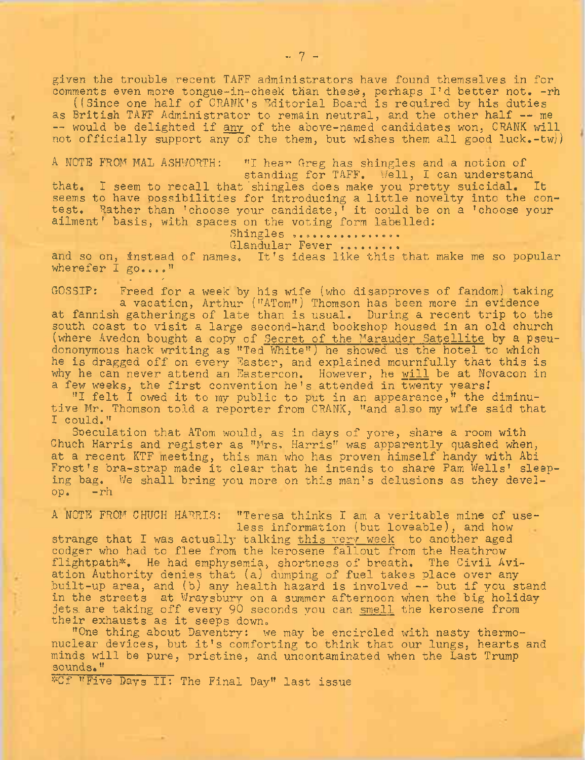given the trouble recent TAFF administrators have found themselves in for comments even more tongue-in-cheek than these, perhaps I'd better not. - rh

((Since one half of CRANK's Editorial Board is required by his duties as British TAFF Administrator to remain neutral, and the other half -- me -- would be delighted if any of the above-named candidates won, CRANK will not officially support any of the them, but wishes them all good luck.-tw)

A NOTE FROM MAL ASHWORTH: "I hear Greg has shingles and a notion of

standing for TAFF. Well, I can understand that. I seem to recall that 'shingles does make you pretty suicidal. It seems to have possibilities for introducing a little novelty into the contest. Rather than 'choose your candidate,' it could be on a 'choose your ailment' basis, with spaces on the voting form labelled:

Shingles .......... Glandular Fever .........

and so on, instead of names. It's ideas like this that make me so popular wherefer I go...."

u. *r*

GOSSIP: Freed for a week by his wife (who disapproves of fandom) taking a vacation, Arthur ("ATom") Thomson has been more in evidence at fannish gatherings of late than is usual. During a recent trip to the south coast to visit a large second-hand bookshop housed in an old church (where Avedon bought a copy of Secret of the Marauder Satellite by a pseudononymous hack writing as "Ted White") he showed us the hotel to which he is dragged off on every Easter, and explained mournfully that this is why he can never attend an Eastercon. However, he will be at Novacon in a few weeks, the first convention he's attended in twenty years!

"I felt I owed it to my public to put in an appearance," the diminutive Mr. Thomson told a reporter from CRANK, "and also my wife said that I could."

Speculation that ATom would, as in days of yore, share a room with Chuch Harris and register as "Mrs. Harris" was apparently quashed when, at a recent KTF meeting, this man who has proven himself handy with Abi Frost'<sup>s</sup> bra-strap made it clear that he intends to share Pam Wells' sleeping bag. We shall bring you more on this man'<sup>s</sup> delusions as they develop. -rh

A NOTE FROM CHUCH HARRIS: "Teresa thinks I am a veritable mine of useless information (but loveable), and how

strange that I was actually talking this very week to another aged codger who had to flee from the kerosene fallout from the Heathrow flightpath\*. He had emphysemia, shortness of breath. The Civil Aviation Authority denies that (a) dumping of fuel takes place over any built-up area, and (b) any health hazard is involved — but if you stand in the streets at Wraysbury on a summer afternoon when the big holiday jets are taking off every 90 seconds you can smell the kerosene from their exhausts as it seeps down.

"One thing about Daventry: we may be encircled with nasty thermonuclear devices, but it'<sup>s</sup> comforting to think that our lungs, hearts and minds will be pure, pristine, and uncontaminated when the Last Trump sounds."

\*Cf "Five Days II: The Final Day" last issue